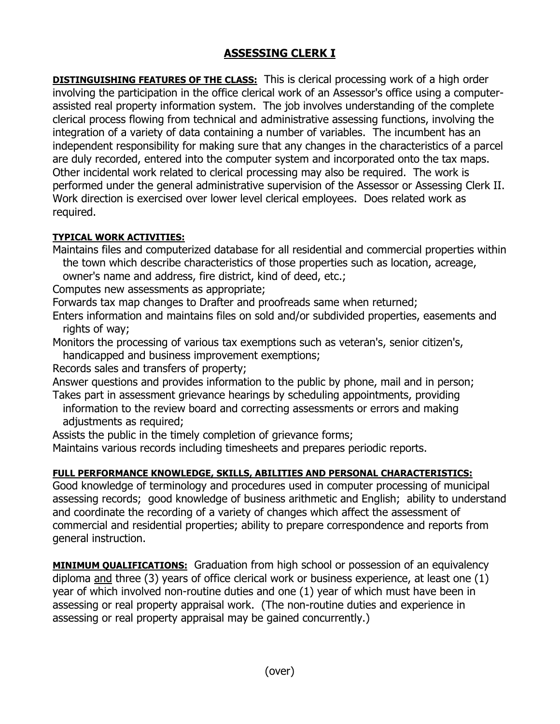## **ASSESSING CLERK I**

**DISTINGUISHING FEATURES OF THE CLASS:** This is clerical processing work of a high order involving the participation in the office clerical work of an Assessor's office using a computerassisted real property information system. The job involves understanding of the complete clerical process flowing from technical and administrative assessing functions, involving the integration of a variety of data containing a number of variables. The incumbent has an independent responsibility for making sure that any changes in the characteristics of a parcel are duly recorded, entered into the computer system and incorporated onto the tax maps. Other incidental work related to clerical processing may also be required. The work is performed under the general administrative supervision of the Assessor or Assessing Clerk II. Work direction is exercised over lower level clerical employees. Does related work as required.

## **TYPICAL WORK ACTIVITIES:**

Maintains files and computerized database for all residential and commercial properties within the town which describe characteristics of those properties such as location, acreage, owner's name and address, fire district, kind of deed, etc.;

Computes new assessments as appropriate;

Forwards tax map changes to Drafter and proofreads same when returned;

Enters information and maintains files on sold and/or subdivided properties, easements and rights of way;

Monitors the processing of various tax exemptions such as veteran's, senior citizen's, handicapped and business improvement exemptions;

Records sales and transfers of property;

Answer questions and provides information to the public by phone, mail and in person;

Takes part in assessment grievance hearings by scheduling appointments, providing information to the review board and correcting assessments or errors and making adjustments as required;

Assists the public in the timely completion of grievance forms;

Maintains various records including timesheets and prepares periodic reports.

## **FULL PERFORMANCE KNOWLEDGE, SKILLS, ABILITIES AND PERSONAL CHARACTERISTICS:**

Good knowledge of terminology and procedures used in computer processing of municipal assessing records; good knowledge of business arithmetic and English; ability to understand and coordinate the recording of a variety of changes which affect the assessment of commercial and residential properties; ability to prepare correspondence and reports from general instruction.

**MINIMUM QUALIFICATIONS:** Graduation from high school or possession of an equivalency diploma and three (3) years of office clerical work or business experience, at least one (1) year of which involved non-routine duties and one (1) year of which must have been in assessing or real property appraisal work. (The non-routine duties and experience in assessing or real property appraisal may be gained concurrently.)